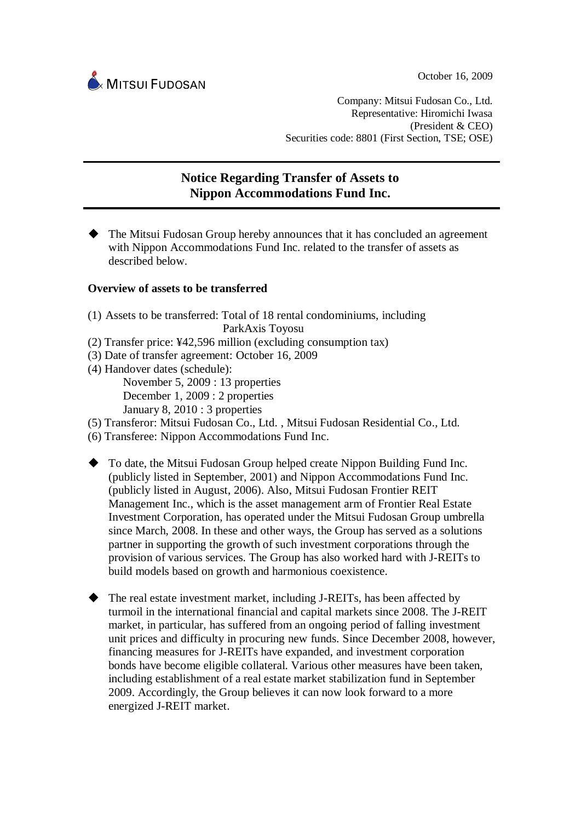

Company: Mitsui Fudosan Co., Ltd. Representative: Hiromichi Iwasa (President & CEO) Securities code: 8801 (First Section, TSE; OSE)

## **Notice Regarding Transfer of Assets to Nippon Accommodations Fund Inc.** ŗ.

 The Mitsui Fudosan Group hereby announces that it has concluded an agreement with Nippon Accommodations Fund Inc. related to the transfer of assets as described below.

## **Overview of assets to be transferred**

- (1) Assets to be transferred: Total of 18 rental condominiums, including ParkAxis Toyosu
- (2) Transfer price: ¥42,596 million (excluding consumption tax)
- (3) Date of transfer agreement: October 16, 2009
- (4) Handover dates (schedule):

November 5, 2009 : 13 properties

December 1, 2009 : 2 properties

January 8, 2010 : 3 properties

- (5) Transferor: Mitsui Fudosan Co., Ltd. , Mitsui Fudosan Residential Co., Ltd.
- (6) Transferee: Nippon Accommodations Fund Inc.
- To date, the Mitsui Fudosan Group helped create Nippon Building Fund Inc. (publicly listed in September, 2001) and Nippon Accommodations Fund Inc. (publicly listed in August, 2006). Also, Mitsui Fudosan Frontier REIT Management Inc., which is the asset management arm of Frontier Real Estate Investment Corporation, has operated under the Mitsui Fudosan Group umbrella since March, 2008. In these and other ways, the Group has served as a solutions partner in supporting the growth of such investment corporations through the provision of various services. The Group has also worked hard with J-REITs to build models based on growth and harmonious coexistence.
- ◆ The real estate investment market, including J-REITs, has been affected by turmoil in the international financial and capital markets since 2008. The J-REIT market, in particular, has suffered from an ongoing period of falling investment unit prices and difficulty in procuring new funds. Since December 2008, however, financing measures for J-REITs have expanded, and investment corporation bonds have become eligible collateral. Various other measures have been taken, including establishment of a real estate market stabilization fund in September 2009. Accordingly, the Group believes it can now look forward to a more energized J-REIT market.